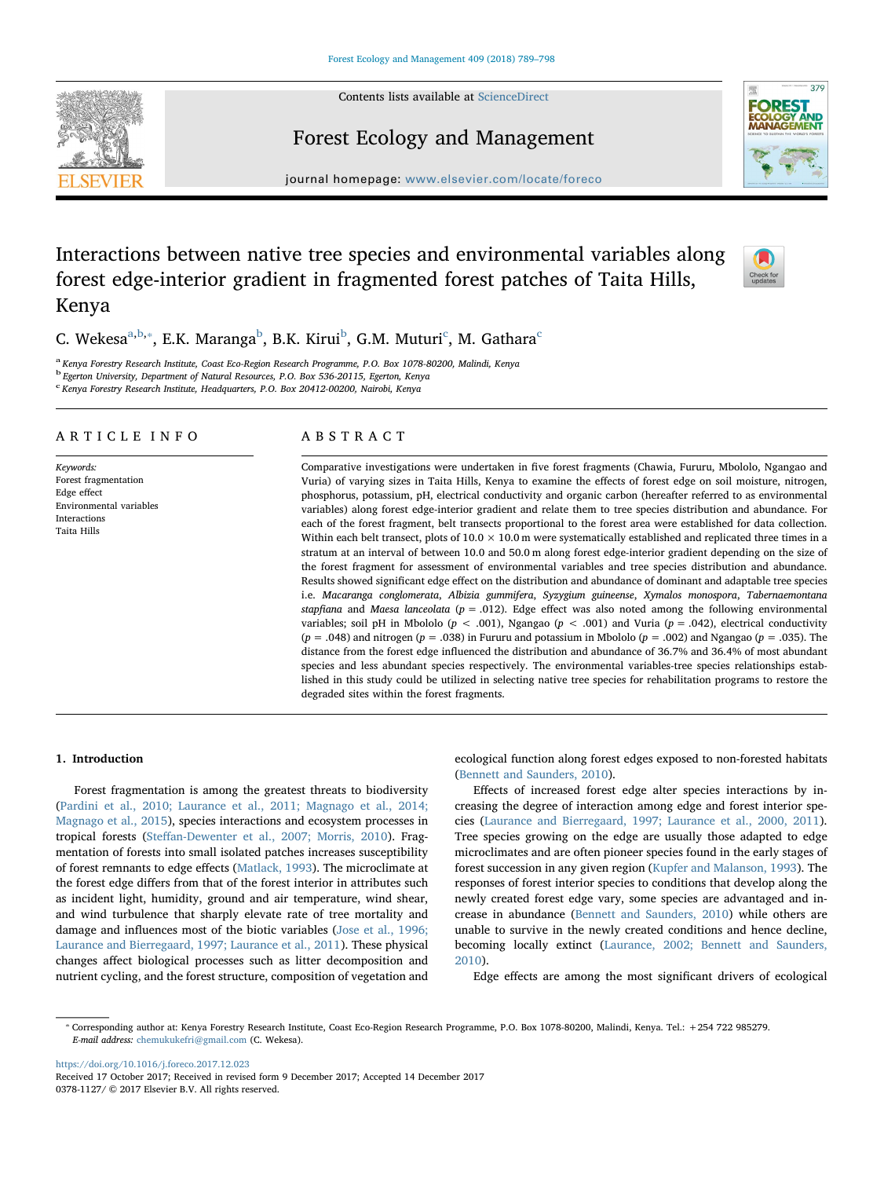Contents lists available at [ScienceDirect](http://www.sciencedirect.com/science/journal/03781127)



# 379

## Forest Ecology and Management

journal homepage: [www.elsevier.com/locate/foreco](https://www.elsevier.com/locate/foreco)

### Interactions between native tree species and environmental variables along forest edge-interior gradient in fragmented forest patches of Taita Hills, Kenya



C. Wekes[a](#page-0-0)<sup>a[,b,](#page-0-1)</sup>\*, E.K. Maranga<sup>[b](#page-0-1)</sup>, B.K. Kirui<sup>b</sup>, G.M. Muturi<sup>[c](#page-0-3)</sup>, M. Gathara<sup>c</sup>

<span id="page-0-0"></span><sup>a</sup> Kenya Forestry Research Institute, Coast Eco-Region Research Programme, P.O. Box 1078-80200, Malindi, Kenya

<span id="page-0-1"></span><sup>b</sup> Egerton University, Department of Natural Resources, P.O. Box 536-20115, Egerton, Kenya

<span id="page-0-3"></span><sup>c</sup> Kenya Forestry Research Institute, Headquarters, P.O. Box 20412-00200, Nairobi, Kenya

#### ARTICLE INFO

Keywords: Forest fragmentation Edge effect Environmental variables Interactions Taita Hills

#### ABSTRACT

Comparative investigations were undertaken in five forest fragments (Chawia, Fururu, Mbololo, Ngangao and Vuria) of varying sizes in Taita Hills, Kenya to examine the effects of forest edge on soil moisture, nitrogen, phosphorus, potassium, pH, electrical conductivity and organic carbon (hereafter referred to as environmental variables) along forest edge-interior gradient and relate them to tree species distribution and abundance. For each of the forest fragment, belt transects proportional to the forest area were established for data collection. Within each belt transect, plots of  $10.0 \times 10.0$  m were systematically established and replicated three times in a stratum at an interval of between 10.0 and 50.0 m along forest edge-interior gradient depending on the size of the forest fragment for assessment of environmental variables and tree species distribution and abundance. Results showed significant edge effect on the distribution and abundance of dominant and adaptable tree species i.e. Macaranga conglomerata, Albizia gummifera, Syzygium guineense, Xymalos monospora, Tabernaemontana stapfiana and Maesa lanceolata ( $p = .012$ ). Edge effect was also noted among the following environmental variables; soil pH in Mbololo ( $p < .001$ ), Ngangao ( $p < .001$ ) and Vuria ( $p = .042$ ), electrical conductivity  $(p = .048)$  and nitrogen  $(p = .038)$  in Fururu and potassium in Mbololo  $(p = .002)$  and Ngangao  $(p = .035)$ . The distance from the forest edge influenced the distribution and abundance of 36.7% and 36.4% of most abundant species and less abundant species respectively. The environmental variables-tree species relationships established in this study could be utilized in selecting native tree species for rehabilitation programs to restore the degraded sites within the forest fragments.

#### 1. Introduction

Forest fragmentation is among the greatest threats to biodiversity ([Pardini et al., 2010; Laurance et al., 2011; Magnago et al., 2014;](#page-9-0) [Magnago et al., 2015\)](#page-9-0), species interactions and ecosystem processes in tropical forests (Steff[an-Dewenter et al., 2007; Morris, 2010](#page-9-1)). Fragmentation of forests into small isolated patches increases susceptibility of forest remnants to edge effects ([Matlack, 1993](#page-9-2)). The microclimate at the forest edge differs from that of the forest interior in attributes such as incident light, humidity, ground and air temperature, wind shear, and wind turbulence that sharply elevate rate of tree mortality and damage and influences most of the biotic variables ([Jose et al., 1996;](#page-8-0) [Laurance and Bierregaard, 1997; Laurance et al., 2011\)](#page-8-0). These physical changes affect biological processes such as litter decomposition and nutrient cycling, and the forest structure, composition of vegetation and ecological function along forest edges exposed to non-forested habitats ([Bennett and Saunders, 2010\)](#page-8-1).

Effects of increased forest edge alter species interactions by increasing the degree of interaction among edge and forest interior species [\(Laurance and Bierregaard, 1997; Laurance et al., 2000, 2011](#page-9-3)). Tree species growing on the edge are usually those adapted to edge microclimates and are often pioneer species found in the early stages of forest succession in any given region ([Kupfer and Malanson, 1993](#page-9-4)). The responses of forest interior species to conditions that develop along the newly created forest edge vary, some species are advantaged and increase in abundance ([Bennett and Saunders, 2010](#page-8-1)) while others are unable to survive in the newly created conditions and hence decline, becoming locally extinct [\(Laurance, 2002; Bennett and Saunders,](#page-9-5) [2010\)](#page-9-5).

Edge effects are among the most significant drivers of ecological

<https://doi.org/10.1016/j.foreco.2017.12.023> Received 17 October 2017; Received in revised form 9 December 2017; Accepted 14 December 2017 0378-1127/ © 2017 Elsevier B.V. All rights reserved.

<span id="page-0-2"></span><sup>⁎</sup> Corresponding author at: Kenya Forestry Research Institute, Coast Eco-Region Research Programme, P.O. Box 1078-80200, Malindi, Kenya. Tel.: +254 722 985279. E-mail address: [chemukukefri@gmail.com](mailto:chemukukefri@gmail.com) (C. Wekesa).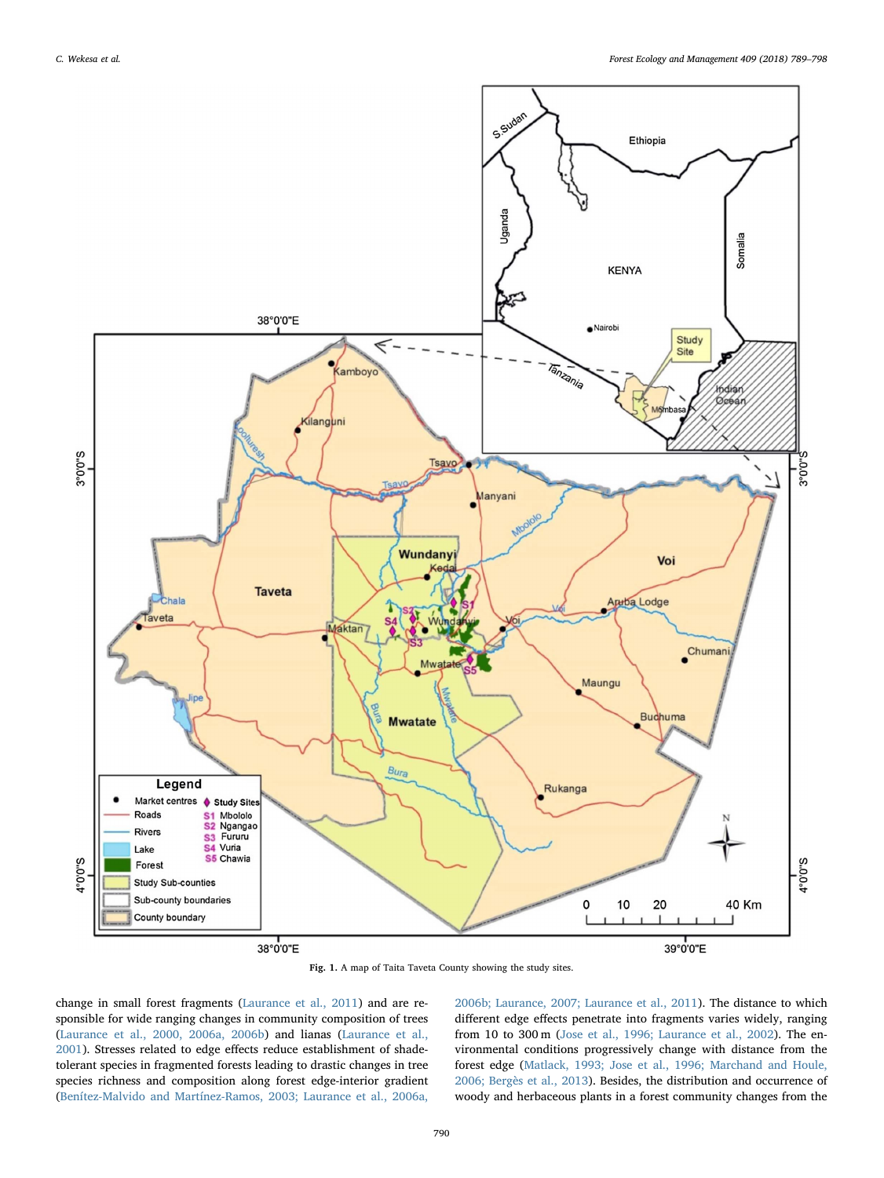<span id="page-1-0"></span>

Fig. 1. A map of Taita Taveta County showing the study sites.

change in small forest fragments ([Laurance et al., 2011\)](#page-9-6) and are responsible for wide ranging changes in community composition of trees ([Laurance et al., 2000, 2006a, 2006b](#page-9-7)) and lianas ([Laurance et al.,](#page-9-8) [2001\)](#page-9-8). Stresses related to edge effects reduce establishment of shadetolerant species in fragmented forests leading to drastic changes in tree species richness and composition along forest edge-interior gradient ([Benítez-Malvido and Martínez-Ramos, 2003; Laurance et al., 2006a,](#page-8-2)

[2006b; Laurance, 2007; Laurance et al., 2011](#page-8-2)). The distance to which different edge effects penetrate into fragments varies widely, ranging from 10 to 300 m ([Jose et al., 1996; Laurance et al., 2002\)](#page-8-0). The environmental conditions progressively change with distance from the forest edge [\(Matlack, 1993; Jose et al., 1996; Marchand and Houle,](#page-9-2) [2006; Bergès et al., 2013\)](#page-9-2). Besides, the distribution and occurrence of woody and herbaceous plants in a forest community changes from the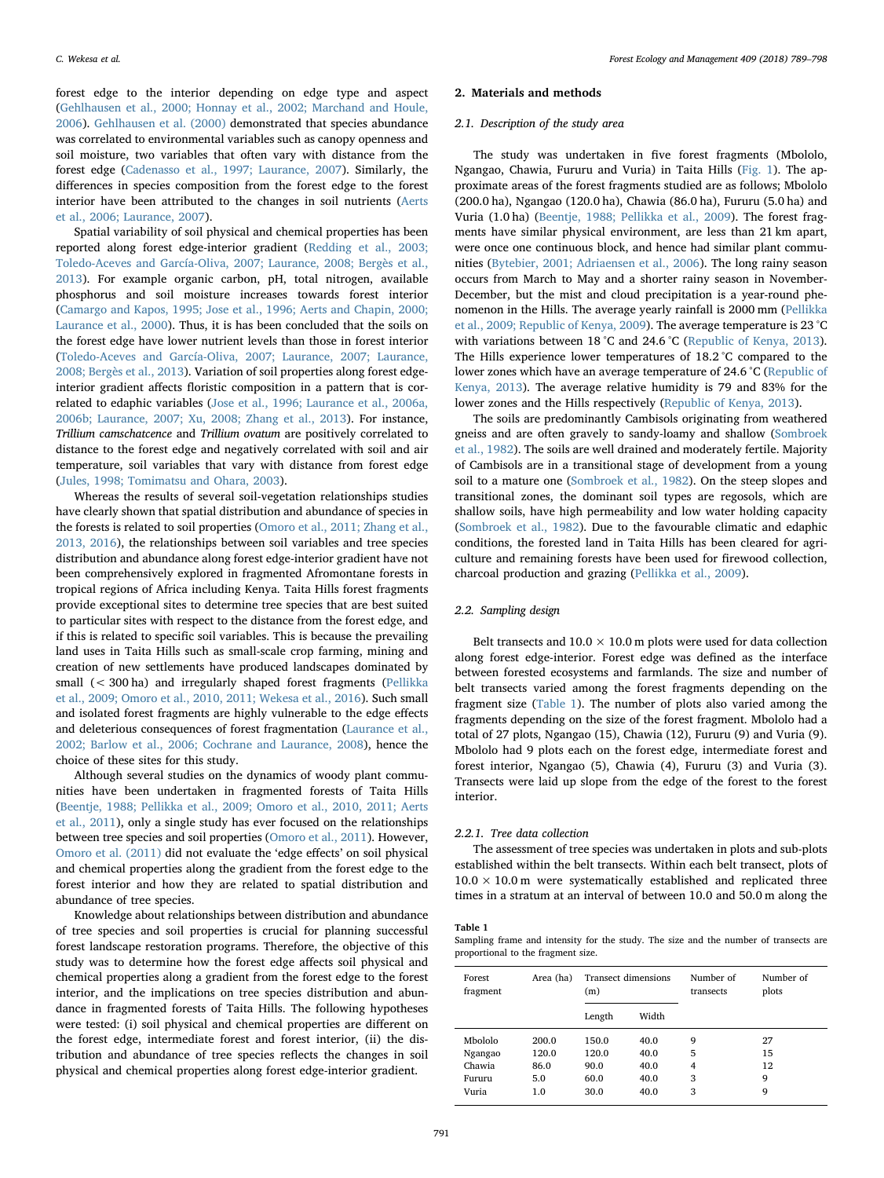forest edge to the interior depending on edge type and aspect ([Gehlhausen et al., 2000; Honnay et al., 2002; Marchand and Houle,](#page-8-3) [2006\)](#page-8-3). [Gehlhausen et al. \(2000\)](#page-8-3) demonstrated that species abundance was correlated to environmental variables such as canopy openness and soil moisture, two variables that often vary with distance from the forest edge ([Cadenasso et al., 1997; Laurance, 2007](#page-8-4)). Similarly, the differences in species composition from the forest edge to the forest interior have been attributed to the changes in soil nutrients [\(Aerts](#page-8-5) [et al., 2006; Laurance, 2007](#page-8-5)).

Spatial variability of soil physical and chemical properties has been reported along forest edge-interior gradient ([Redding et al., 2003;](#page-9-9) [Toledo-Aceves and García-Oliva, 2007; Laurance, 2008; Bergès et al.,](#page-9-9) [2013\)](#page-9-9). For example organic carbon, pH, total nitrogen, available phosphorus and soil moisture increases towards forest interior ([Camargo and Kapos, 1995; Jose et al., 1996; Aerts and Chapin, 2000;](#page-8-6) [Laurance et al., 2000](#page-8-6)). Thus, it is has been concluded that the soils on the forest edge have lower nutrient levels than those in forest interior ([Toledo-Aceves and García-Oliva, 2007; Laurance, 2007; Laurance,](#page-9-10) [2008; Bergès et al., 2013\)](#page-9-10). Variation of soil properties along forest edgeinterior gradient affects floristic composition in a pattern that is correlated to edaphic variables ([Jose et al., 1996; Laurance et al., 2006a,](#page-8-0) [2006b; Laurance, 2007; Xu, 2008; Zhang et al., 2013\)](#page-8-0). For instance, Trillium camschatcence and Trillium ovatum are positively correlated to distance to the forest edge and negatively correlated with soil and air temperature, soil variables that vary with distance from forest edge ([Jules, 1998; Tomimatsu and Ohara, 2003\)](#page-8-7).

Whereas the results of several soil-vegetation relationships studies have clearly shown that spatial distribution and abundance of species in the forests is related to soil properties ([Omoro et al., 2011; Zhang et al.,](#page-9-11) [2013, 2016\)](#page-9-11), the relationships between soil variables and tree species distribution and abundance along forest edge-interior gradient have not been comprehensively explored in fragmented Afromontane forests in tropical regions of Africa including Kenya. Taita Hills forest fragments provide exceptional sites to determine tree species that are best suited to particular sites with respect to the distance from the forest edge, and if this is related to specific soil variables. This is because the prevailing land uses in Taita Hills such as small-scale crop farming, mining and creation of new settlements have produced landscapes dominated by small (< 300 ha) and irregularly shaped forest fragments [\(Pellikka](#page-9-12) [et al., 2009; Omoro et al., 2010, 2011; Wekesa et al., 2016](#page-9-12)). Such small and isolated forest fragments are highly vulnerable to the edge effects and deleterious consequences of forest fragmentation ([Laurance et al.,](#page-9-13) [2002; Barlow et al., 2006; Cochrane and Laurance, 2008](#page-9-13)), hence the choice of these sites for this study.

Although several studies on the dynamics of woody plant communities have been undertaken in fragmented forests of Taita Hills ([Beentje, 1988; Pellikka et al., 2009; Omoro et al., 2010, 2011; Aerts](#page-8-8) [et al., 2011](#page-8-8)), only a single study has ever focused on the relationships between tree species and soil properties ([Omoro et al., 2011\)](#page-9-11). However, [Omoro et al. \(2011\)](#page-9-11) did not evaluate the 'edge effects' on soil physical and chemical properties along the gradient from the forest edge to the forest interior and how they are related to spatial distribution and abundance of tree species.

Knowledge about relationships between distribution and abundance of tree species and soil properties is crucial for planning successful forest landscape restoration programs. Therefore, the objective of this study was to determine how the forest edge affects soil physical and chemical properties along a gradient from the forest edge to the forest interior, and the implications on tree species distribution and abundance in fragmented forests of Taita Hills. The following hypotheses were tested: (i) soil physical and chemical properties are different on the forest edge, intermediate forest and forest interior, (ii) the distribution and abundance of tree species reflects the changes in soil physical and chemical properties along forest edge-interior gradient.

#### 2. Materials and methods

#### 2.1. Description of the study area

The study was undertaken in five forest fragments (Mbololo, Ngangao, Chawia, Fururu and Vuria) in Taita Hills [\(Fig. 1](#page-1-0)). The approximate areas of the forest fragments studied are as follows; Mbololo (200.0 ha), Ngangao (120.0 ha), Chawia (86.0 ha), Fururu (5.0 ha) and Vuria (1.0 ha) [\(Beentje, 1988; Pellikka et al., 2009\)](#page-8-8). The forest fragments have similar physical environment, are less than 21 km apart, were once one continuous block, and hence had similar plant communities [\(Bytebier, 2001; Adriaensen et al., 2006\)](#page-8-9). The long rainy season occurs from March to May and a shorter rainy season in November-December, but the mist and cloud precipitation is a year-round phenomenon in the Hills. The average yearly rainfall is 2000 mm [\(Pellikka](#page-9-12) [et al., 2009; Republic of Kenya, 2009](#page-9-12)). The average temperature is 23 °C with variations between 18 °C and 24.6 °C ([Republic of Kenya, 2013](#page-9-14)). The Hills experience lower temperatures of 18.2 °C compared to the lower zones which have an average temperature of 24.6 °C ([Republic of](#page-9-14) [Kenya, 2013](#page-9-14)). The average relative humidity is 79 and 83% for the lower zones and the Hills respectively ([Republic of Kenya, 2013\)](#page-9-14).

The soils are predominantly Cambisols originating from weathered gneiss and are often gravely to sandy-loamy and shallow [\(Sombroek](#page-9-15) [et al., 1982](#page-9-15)). The soils are well drained and moderately fertile. Majority of Cambisols are in a transitional stage of development from a young soil to a mature one ([Sombroek et al., 1982](#page-9-15)). On the steep slopes and transitional zones, the dominant soil types are regosols, which are shallow soils, have high permeability and low water holding capacity ([Sombroek et al., 1982](#page-9-15)). Due to the favourable climatic and edaphic conditions, the forested land in Taita Hills has been cleared for agriculture and remaining forests have been used for firewood collection, charcoal production and grazing [\(Pellikka et al., 2009\)](#page-9-12).

#### 2.2. Sampling design

Belt transects and  $10.0 \times 10.0$  m plots were used for data collection along forest edge-interior. Forest edge was defined as the interface between forested ecosystems and farmlands. The size and number of belt transects varied among the forest fragments depending on the fragment size ([Table 1](#page-2-0)). The number of plots also varied among the fragments depending on the size of the forest fragment. Mbololo had a total of 27 plots, Ngangao (15), Chawia (12), Fururu (9) and Vuria (9). Mbololo had 9 plots each on the forest edge, intermediate forest and forest interior, Ngangao (5), Chawia (4), Fururu (3) and Vuria (3). Transects were laid up slope from the edge of the forest to the forest interior.

#### 2.2.1. Tree data collection

The assessment of tree species was undertaken in plots and sub-plots established within the belt transects. Within each belt transect, plots of  $10.0 \times 10.0$  m were systematically established and replicated three times in a stratum at an interval of between 10.0 and 50.0 m along the

#### <span id="page-2-0"></span>Table 1

Sampling frame and intensity for the study. The size and the number of transects are proportional to the fragment size.

| Forest<br>fragment | Area (ha) | <b>Transect dimensions</b><br>(m) |       | Number of<br>transects | Number of<br>plots |
|--------------------|-----------|-----------------------------------|-------|------------------------|--------------------|
|                    |           | Length                            | Width |                        |                    |
| Mbololo            | 200.0     | 150.0                             | 40.0  | 9                      | 27                 |
| Ngangao            | 120.0     | 120.0                             | 40.0  | 5                      | 15                 |
| Chawia             | 86.0      | 90.0                              | 40.0  | 4                      | 12                 |
| Fururu             | 5.0       | 60.0                              | 40.0  | 3                      | 9                  |
| Vuria              | 1.0       | 30.0                              | 40.0  | 3                      | 9                  |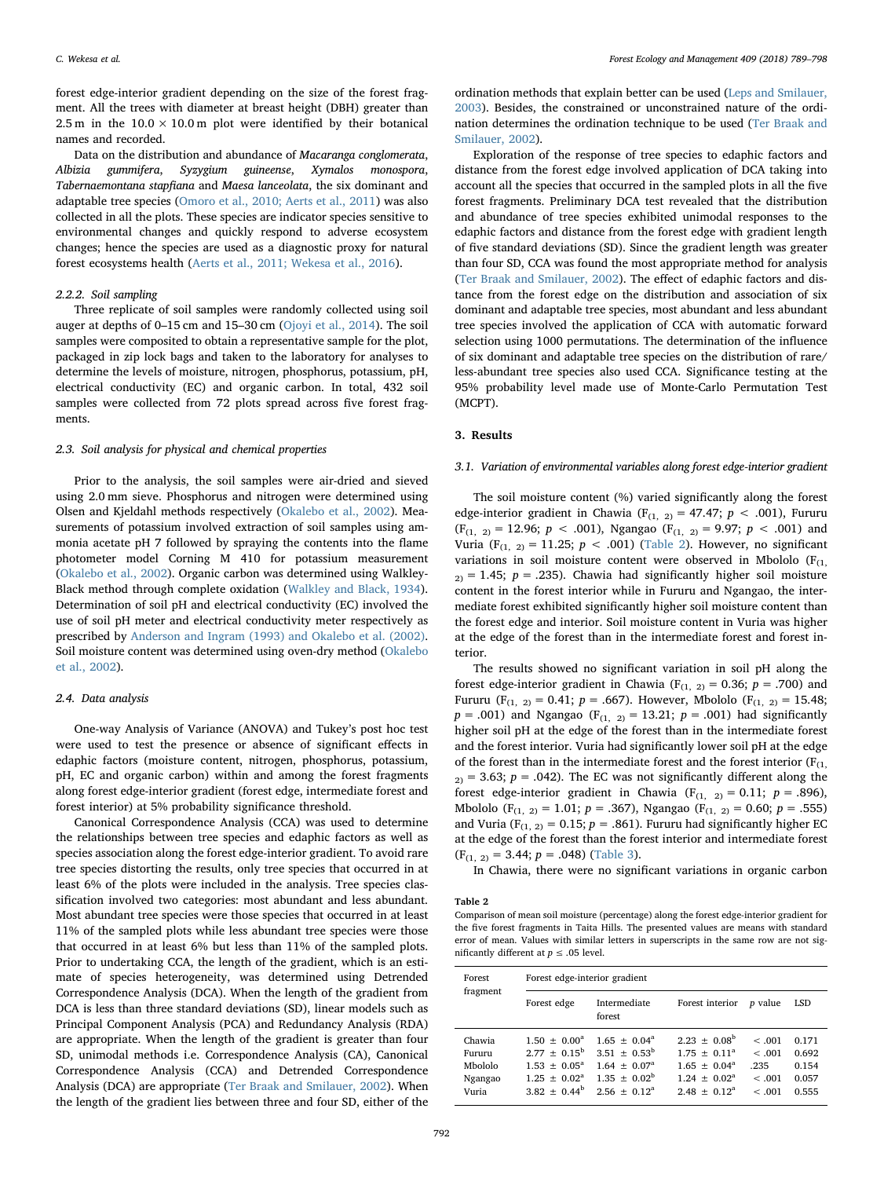forest edge-interior gradient depending on the size of the forest fragment. All the trees with diameter at breast height (DBH) greater than 2.5 m in the  $10.0 \times 10.0$  m plot were identified by their botanical names and recorded.

Data on the distribution and abundance of Macaranga conglomerata, Albizia gummifera, Syzygium guineense, Xymalos monospora, Tabernaemontana stapfiana and Maesa lanceolata, the six dominant and adaptable tree species ([Omoro et al., 2010; Aerts et al., 2011](#page-9-16)) was also collected in all the plots. These species are indicator species sensitive to environmental changes and quickly respond to adverse ecosystem changes; hence the species are used as a diagnostic proxy for natural forest ecosystems health ([Aerts et al., 2011; Wekesa et al., 2016](#page-8-10)).

#### 2.2.2. Soil sampling

Three replicate of soil samples were randomly collected using soil auger at depths of 0–15 cm and 15–30 cm [\(Ojoyi et al., 2014](#page-9-17)). The soil samples were composited to obtain a representative sample for the plot, packaged in zip lock bags and taken to the laboratory for analyses to determine the levels of moisture, nitrogen, phosphorus, potassium, pH, electrical conductivity (EC) and organic carbon. In total, 432 soil samples were collected from 72 plots spread across five forest fragments.

#### 2.3. Soil analysis for physical and chemical properties

Prior to the analysis, the soil samples were air-dried and sieved using 2.0 mm sieve. Phosphorus and nitrogen were determined using Olsen and Kjeldahl methods respectively ([Okalebo et al., 2002](#page-9-18)). Measurements of potassium involved extraction of soil samples using ammonia acetate pH 7 followed by spraying the contents into the flame photometer model Corning M 410 for potassium measurement ([Okalebo et al., 2002\)](#page-9-18). Organic carbon was determined using Walkley-Black method through complete oxidation [\(Walkley and Black, 1934](#page-9-19)). Determination of soil pH and electrical conductivity (EC) involved the use of soil pH meter and electrical conductivity meter respectively as prescribed by [Anderson and Ingram \(1993\) and Okalebo et al. \(2002\)](#page-8-11). Soil moisture content was determined using oven-dry method [\(Okalebo](#page-9-18) [et al., 2002](#page-9-18)).

#### 2.4. Data analysis

One-way Analysis of Variance (ANOVA) and Tukey's post hoc test were used to test the presence or absence of significant effects in edaphic factors (moisture content, nitrogen, phosphorus, potassium, pH, EC and organic carbon) within and among the forest fragments along forest edge-interior gradient (forest edge, intermediate forest and forest interior) at 5% probability significance threshold.

Canonical Correspondence Analysis (CCA) was used to determine the relationships between tree species and edaphic factors as well as species association along the forest edge-interior gradient. To avoid rare tree species distorting the results, only tree species that occurred in at least 6% of the plots were included in the analysis. Tree species classification involved two categories: most abundant and less abundant. Most abundant tree species were those species that occurred in at least 11% of the sampled plots while less abundant tree species were those that occurred in at least 6% but less than 11% of the sampled plots. Prior to undertaking CCA, the length of the gradient, which is an estimate of species heterogeneity, was determined using Detrended Correspondence Analysis (DCA). When the length of the gradient from DCA is less than three standard deviations (SD), linear models such as Principal Component Analysis (PCA) and Redundancy Analysis (RDA) are appropriate. When the length of the gradient is greater than four SD, unimodal methods i.e. Correspondence Analysis (CA), Canonical Correspondence Analysis (CCA) and Detrended Correspondence Analysis (DCA) are appropriate ([Ter Braak and Smilauer, 2002\)](#page-9-20). When the length of the gradient lies between three and four SD, either of the

ordination methods that explain better can be used ([Leps and Smilauer,](#page-9-21) [2003\)](#page-9-21). Besides, the constrained or unconstrained nature of the ordination determines the ordination technique to be used [\(Ter Braak and](#page-9-20) [Smilauer, 2002\)](#page-9-20).

Exploration of the response of tree species to edaphic factors and distance from the forest edge involved application of DCA taking into account all the species that occurred in the sampled plots in all the five forest fragments. Preliminary DCA test revealed that the distribution and abundance of tree species exhibited unimodal responses to the edaphic factors and distance from the forest edge with gradient length of five standard deviations (SD). Since the gradient length was greater than four SD, CCA was found the most appropriate method for analysis ([Ter Braak and Smilauer, 2002](#page-9-20)). The effect of edaphic factors and distance from the forest edge on the distribution and association of six dominant and adaptable tree species, most abundant and less abundant tree species involved the application of CCA with automatic forward selection using 1000 permutations. The determination of the influence of six dominant and adaptable tree species on the distribution of rare/ less-abundant tree species also used CCA. Significance testing at the 95% probability level made use of Monte-Carlo Permutation Test (MCPT).

#### 3. Results

#### 3.1. Variation of environmental variables along forest edge-interior gradient

The soil moisture content (%) varied significantly along the forest edge-interior gradient in Chawia ( $F_{(1, 2)} = 47.47$ ;  $p < .001$ ), Fururu  $(F_{(1, 2)} = 12.96; p < .001)$ , Ngangao  $(F_{(1, 2)} = 9.97; p < .001)$  and Vuria (F<sub>(1, 2)</sub> = 11.25;  $p < .001$ ) [\(Table 2\)](#page-3-0). However, no significant variations in soil moisture content were observed in Mbololo  $(F_{(1)})$  $_{2)}$  = 1.45;  $p = .235$ ). Chawia had significantly higher soil moisture content in the forest interior while in Fururu and Ngangao, the intermediate forest exhibited significantly higher soil moisture content than the forest edge and interior. Soil moisture content in Vuria was higher at the edge of the forest than in the intermediate forest and forest interior.

The results showed no significant variation in soil pH along the forest edge-interior gradient in Chawia ( $F_{(1, 2)} = 0.36$ ;  $p = .700$ ) and Fururu (F<sub>(1, 2)</sub> = 0.41; p = .667). However, Mbololo (F<sub>(1, 2)</sub> = 15.48;  $p = .001$ ) and Ngangao (F<sub>(1, 2)</sub> = 13.21;  $p = .001$ ) had significantly higher soil pH at the edge of the forest than in the intermediate forest and the forest interior. Vuria had significantly lower soil pH at the edge of the forest than in the intermediate forest and the forest interior  $(F_{(1)})$  $z_2$  = 3.63; p = .042). The EC was not significantly different along the forest edge-interior gradient in Chawia (F<sub>(1, 2)</sub> = 0.11;  $p = .896$ ), Mbololo (F<sub>(1, 2)</sub> = 1.01; p = .367), Ngangao (F<sub>(1, 2)</sub> = 0.60; p = .555) and Vuria ( $F_{(1, 2)} = 0.15$ ;  $p = .861$ ). Fururu had significantly higher EC at the edge of the forest than the forest interior and intermediate forest  $(F_{(1, 2)} = 3.44; p = .048)$  ([Table 3](#page-4-0)).

In Chawia, there were no significant variations in organic carbon

<span id="page-3-0"></span>Table 2

Comparison of mean soil moisture (percentage) along the forest edge-interior gradient for the five forest fragments in Taita Hills. The presented values are means with standard error of mean. Values with similar letters in superscripts in the same row are not significantly different at  $p \leq .05$  level.

| Forest<br>fragment                              | Forest edge-interior gradient                                                                               |                                                                                                                     |                                                                                                              |                                              |                                           |  |
|-------------------------------------------------|-------------------------------------------------------------------------------------------------------------|---------------------------------------------------------------------------------------------------------------------|--------------------------------------------------------------------------------------------------------------|----------------------------------------------|-------------------------------------------|--|
|                                                 | Forest edge                                                                                                 | Intermediate<br>forest                                                                                              | Forest interior                                                                                              | <i>p</i> value                               | LSD                                       |  |
| Chawia<br>Fururu<br>Mbololo<br>Ngangao<br>Vuria | $1.50 \pm 0.00^{\circ}$<br>$2.77 + 0.15^b$<br>$1.53 \pm 0.05^{\circ}$<br>$1.25 + 0.02^a$<br>$3.82 + 0.44^b$ | $1.65 \pm 0.04^{\circ}$<br>$3.51 + 0.53^b$<br>$1.64 \pm 0.07^{\circ}$<br>$1.35 \pm 0.02^{\rm b}$<br>$2.56 + 0.12^a$ | $2.23 \pm 0.08^{\rm b}$<br>$1.75 + 0.11a$<br>$1.65 \pm 0.04^{\circ}$<br>$1.24 + 0.02^a$<br>$2.48 \pm 0.12^a$ | < .001<br>< .001<br>.235<br>< .001<br>< .001 | 0.171<br>0.692<br>0.154<br>0.057<br>0.555 |  |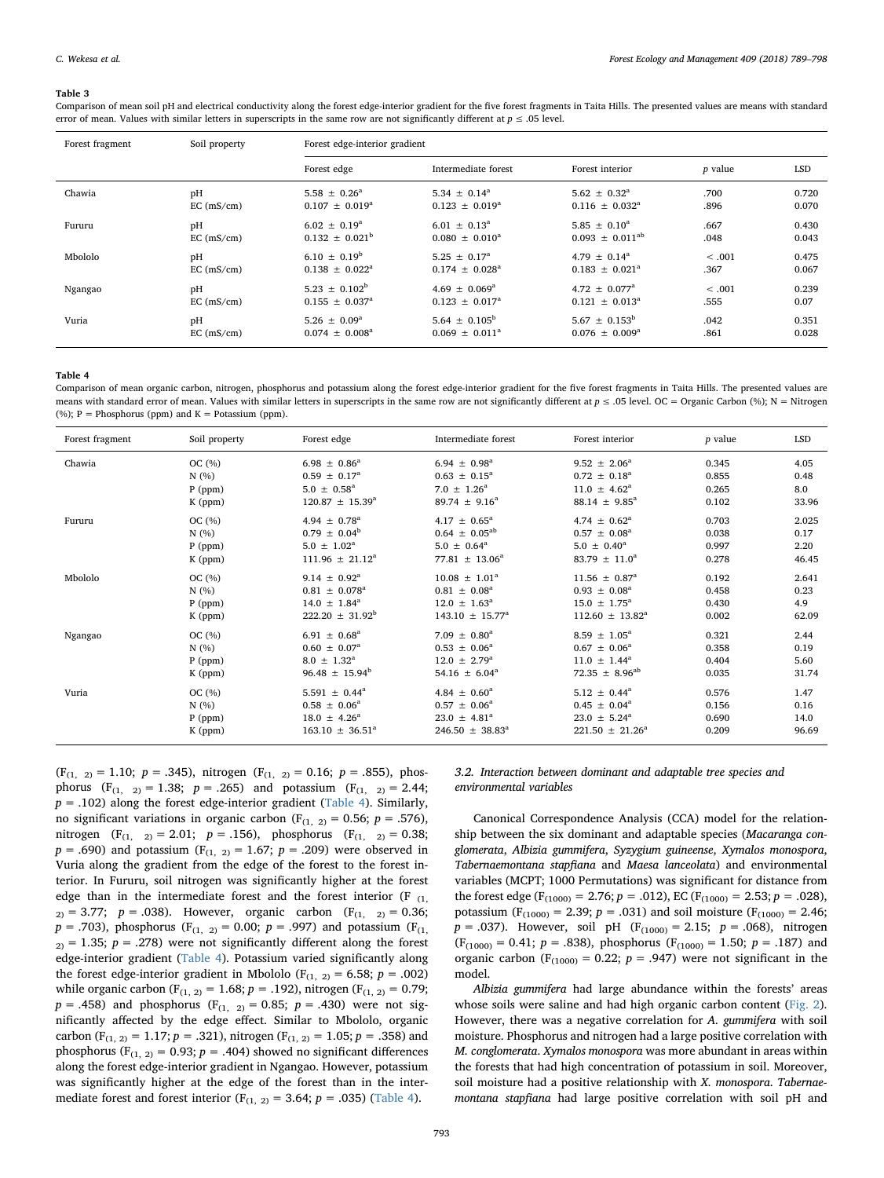#### <span id="page-4-0"></span>Table 3

Comparison of mean soil pH and electrical conductivity along the forest edge-interior gradient for the five forest fragments in Taita Hills. The presented values are means with standard error of mean. Values with similar letters in superscripts in the same row are not significantly different at  $p \le 0.05$  level.

| Forest fragment | Soil property | Forest edge-interior gradient |                               |                               |                |            |
|-----------------|---------------|-------------------------------|-------------------------------|-------------------------------|----------------|------------|
|                 |               | Forest edge                   | Intermediate forest           | Forest interior               | <i>p</i> value | <b>LSD</b> |
| Chawia          | pH            | $5.58 \pm 0.26^a$             | 5.34 $\pm$ 0.14 <sup>a</sup>  | $5.62 \pm 0.32^{\circ}$       | .700           | 0.720      |
|                 | EC (mS/cm)    | $0.107 \pm 0.019^{\text{a}}$  | $0.123 \pm 0.019^a$           | $0.116 \pm 0.032^{\text{a}}$  | .896           | 0.070      |
| Fururu          | pH            | $6.02 \pm 0.19^{\circ}$       | $6.01 \pm 0.13^a$             | $5.85 \pm 0.10^a$             | .667           | 0.430      |
|                 | EC (mS/cm)    | $0.132 \pm 0.021^{\rm b}$     | $0.080 + 0.010^a$             | $0.093 \pm 0.011^{ab}$        | .048           | 0.043      |
| Mbololo         | pH            | $6.10 \pm 0.19^b$             | $5.25 \pm 0.17^{\circ}$       | $4.79 \pm 0.14^{\circ}$       | < .001         | 0.475      |
|                 | EC (mS/cm)    | $0.138 + 0.022^a$             | $0.174 + 0.028^{\text{a}}$    | $0.183 \pm 0.021^a$           | .367           | 0.067      |
| Ngangao         | pH            | $5.23 \pm 0.102^b$            | $4.69 \pm 0.069^{\text{a}}$   | $4.72 \pm 0.077$ <sup>a</sup> | < .001         | 0.239      |
|                 | EC (mS/cm)    | $0.155 \pm 0.037^{\rm a}$     | $0.123 \pm 0.017^a$           | $0.121 \pm 0.013^{\text{a}}$  | .555           | 0.07       |
| Vuria           | pH            | $5.26 \pm 0.09^{\text{a}}$    | 5.64 $\pm$ 0.105 <sup>b</sup> | $5.67 \pm 0.153^{\rm b}$      | .042           | 0.351      |
|                 | EC (mS/cm)    | $0.074 \pm 0.008^a$           | $0.069 \pm 0.011^a$           | $0.076 \pm 0.009^{\text{a}}$  | .861           | 0.028      |

<span id="page-4-1"></span>Table 4

Comparison of mean organic carbon, nitrogen, phosphorus and potassium along the forest edge-interior gradient for the five forest fragments in Taita Hills. The presented values are means with standard error of mean. Values with similar letters in superscripts in the same row are not significantly different at  $p \le 0.05$  level. OC = Organic Carbon (%); N = Nitrogen  $(%): P = Phosphorus (nom)$  and  $K = Potassium (ppm)$ .

| Forest fragment | Soil property | Forest edge                   | Intermediate forest           | Forest interior              | <i>p</i> value | LSD   |
|-----------------|---------------|-------------------------------|-------------------------------|------------------------------|----------------|-------|
| Chawia          | OC $(%)$      | $6.98 \pm 0.86^a$             | $6.94 \pm 0.98^{\circ}$       | $9.52 \pm 2.06^a$            | 0.345          | 4.05  |
|                 | N(%           | $0.59 \pm 0.17^{\circ}$       | $0.63 \pm 0.15^{\text{a}}$    | $0.72 \pm 0.18^a$            | 0.855          | 0.48  |
|                 | $P$ (ppm)     | $5.0 \pm 0.58^{\text{a}}$     | $7.0 \pm 1.26^{\rm a}$        | $11.0 \pm 4.62^{\circ}$      | 0.265          | 8.0   |
|                 | $K$ (ppm)     | $120.87 \pm 15.39^a$          | 89.74 $\pm$ 9.16 <sup>a</sup> | $88.14 \pm 9.85^a$           | 0.102          | 33.96 |
| Fururu          | OC $(\%)$     | 4.94 $\pm$ 0.78 <sup>a</sup>  | $4.17 \pm 0.65^{\circ}$       | 4.74 $\pm$ 0.62 <sup>a</sup> | 0.703          | 2.025 |
|                 | N(%           | $0.79 \pm 0.04^b$             | $0.64 \pm 0.05^{ab}$          | $0.57 \pm 0.08^a$            | 0.038          | 0.17  |
|                 | $P$ (ppm)     | $5.0 \pm 1.02^a$              | $5.0 \pm 0.64^{\text{a}}$     | $5.0 \pm 0.40^a$             | 0.997          | 2.20  |
|                 | K (ppm)       | $111.96 \pm 21.12^a$          | $77.81 \pm 13.06^a$           | $83.79 \pm 11.0^a$           | 0.278          | 46.45 |
| Mbololo         | OC(%)         | $9.14 \pm 0.92^{\text{a}}$    | $10.08 \pm 1.01^a$            | $11.56 \pm 0.87^a$           | 0.192          | 2.641 |
|                 | N(%)          | $0.81 \pm 0.078^a$            | $0.81 \pm 0.08^a$             | $0.93 \pm 0.08^a$            | 0.458          | 0.23  |
|                 | $P$ (ppm)     | $14.0 \pm 1.84^{\circ}$       | $12.0 \pm 1.63^{\circ}$       | $15.0 \pm 1.75^{\circ}$      | 0.430          | 4.9   |
|                 | K (ppm)       | $222.20 \pm 31.92^b$          | $143.10 \pm 15.77^{\text{a}}$ | $112.60 \pm 13.82^a$         | 0.002          | 62.09 |
| Ngangao         | OC $(\%)$     | $6.91 \pm 0.68^{\text{a}}$    | $7.09 \pm 0.80^a$             | $8.59 \pm 1.05^a$            | 0.321          | 2.44  |
|                 | N(%)          | $0.60 \pm 0.07^{\text{a}}$    | $0.53 \pm 0.06^a$             | $0.67 \pm 0.06^a$            | 0.358          | 0.19  |
|                 | $P$ (ppm)     | $8.0 \pm 1.32^{\text{a}}$     | $12.0 \pm 2.79^{\circ}$       | $11.0 \pm 1.44^a$            | 0.404          | 5.60  |
|                 | K (ppm)       | $96.48 \pm 15.94^b$           | 54.16 $\pm$ 6.04 <sup>a</sup> | $72.35 \pm 8.96^{ab}$        | 0.035          | 31.74 |
| Vuria           | OC(%)         | 5.591 $\pm$ 0.44 <sup>a</sup> | 4.84 $\pm$ 0.60 <sup>a</sup>  | $5.12 \pm 0.44^{\circ}$      | 0.576          | 1.47  |
|                 | N(%)          | $0.58 \pm 0.06^a$             | $0.57 \pm 0.06^a$             | $0.45 \pm 0.04^a$            | 0.156          | 0.16  |
|                 | $P$ (ppm)     | $18.0 \pm 4.26^{\circ}$       | $23.0 \pm 4.81^{\circ}$       | $23.0 \pm 5.24^a$            | 0.690          | 14.0  |
|                 | $K$ (ppm)     | $163.10 \pm 36.51^{\circ}$    | $246.50 \pm 38.83^{\circ}$    | $221.50 \pm 21.26^a$         | 0.209          | 96.69 |

 $(F_{(1, 2)} = 1.10; p = .345)$ , nitrogen  $(F_{(1, 2)} = 0.16; p = .855)$ , phosphorus  $(F_{(1, 2)} = 1.38; p = .265)$  and potassium  $(F_{(1, 2)} = 2.44;$  $p = .102$ ) along the forest edge-interior gradient ([Table 4](#page-4-1)). Similarly, no significant variations in organic carbon ( $F_{(1, 2)} = 0.56$ ;  $p = .576$ ), nitrogen (F<sub>(1, 2)</sub> = 2.01;  $p = .156$ ), phosphorus (F<sub>(1, 2)</sub> = 0.38;  $p = .690$ ) and potassium (F<sub>(1, 2)</sub> = 1.67;  $p = .209$ ) were observed in Vuria along the gradient from the edge of the forest to the forest interior. In Fururu, soil nitrogen was significantly higher at the forest edge than in the intermediate forest and the forest interior  $(F_{(1)})$  $2<sub>2</sub> = 3.77$ ;  $p = .038$ ). However, organic carbon (F<sub>(1, 2)</sub> = 0.36;  $p = .703$ ), phosphorus (F<sub>(1, 2)</sub> = 0.00;  $p = .997$ ) and potassium (F<sub>(1,</sub>  $2$ ) = 1.35;  $p = .278$ ) were not significantly different along the forest edge-interior gradient [\(Table 4](#page-4-1)). Potassium varied significantly along the forest edge-interior gradient in Mbololo ( $F_{(1, 2)} = 6.58$ ;  $p = .002$ ) while organic carbon (F<sub>(1, 2)</sub> = 1.68;  $p = .192$ ), nitrogen (F<sub>(1, 2)</sub> = 0.79;  $p = .458$ ) and phosphorus (F<sub>(1, 2)</sub> = 0.85;  $p = .430$ ) were not significantly affected by the edge effect. Similar to Mbololo, organic carbon (F<sub>(1, 2)</sub> = 1.17;  $p = .321$ ), nitrogen (F<sub>(1, 2)</sub> = 1.05;  $p = .358$ ) and phosphorus (F<sub>(1, 2)</sub> = 0.93;  $p = .404$ ) showed no significant differences along the forest edge-interior gradient in Ngangao. However, potassium was significantly higher at the edge of the forest than in the intermediate forest and forest interior ( $F_{(1, 2)} = 3.64$ ;  $p = .035$ ) [\(Table 4](#page-4-1)).

3.2. Interaction between dominant and adaptable tree species and environmental variables

Canonical Correspondence Analysis (CCA) model for the relationship between the six dominant and adaptable species (Macaranga conglomerata, Albizia gummifera, Syzygium guineense, Xymalos monospora, Tabernaemontana stapfiana and Maesa lanceolata) and environmental variables (MCPT; 1000 Permutations) was significant for distance from the forest edge (F<sub>(1000)</sub> = 2.76;  $p = .012$ ), EC (F<sub>(1000)</sub> = 2.53;  $p = .028$ ), potassium ( $F_{(1000)} = 2.39$ ;  $p = .031$ ) and soil moisture ( $F_{(1000)} = 2.46$ ;  $p = .037$ ). However, soil pH (F<sub>(1000)</sub> = 2.15;  $p = .068$ ), nitrogen  $(F_{(1000)} = 0.41; p = .838)$ , phosphorus  $(F_{(1000)} = 1.50; p = .187)$  and organic carbon ( $F_{(1000)} = 0.22$ ;  $p = .947$ ) were not significant in the model.

Albizia gummifera had large abundance within the forests' areas whose soils were saline and had high organic carbon content ([Fig. 2](#page-5-0)). However, there was a negative correlation for A. gummifera with soil moisture. Phosphorus and nitrogen had a large positive correlation with M. conglomerata. Xymalos monospora was more abundant in areas within the forests that had high concentration of potassium in soil. Moreover, soil moisture had a positive relationship with X. monospora. Tabernaemontana stapfiana had large positive correlation with soil pH and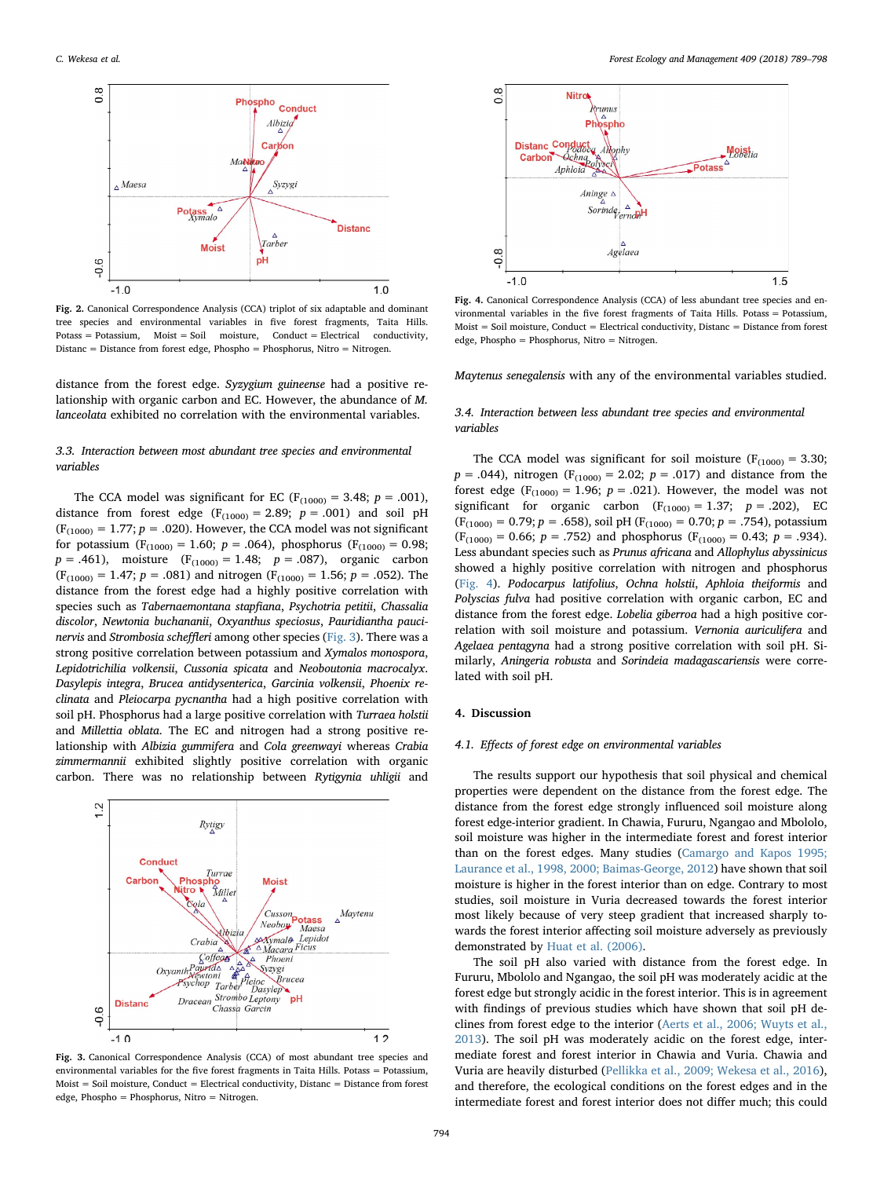<span id="page-5-0"></span>

Fig. 2. Canonical Correspondence Analysis (CCA) triplot of six adaptable and dominant tree species and environmental variables in five forest fragments, Taita Hills.  $Potass = Potassium$ ,  $Moist = Soil$  moisture,  $Conduct = Electrical$  conductivity, Distanc = Distance from forest edge, Phospho = Phosphorus, Nitro = Nitrogen.

distance from the forest edge. Syzygium guineense had a positive relationship with organic carbon and EC. However, the abundance of M. lanceolata exhibited no correlation with the environmental variables.

#### 3.3. Interaction between most abundant tree species and environmental variables

The CCA model was significant for EC ( $F_{(1000)} = 3.48$ ;  $p = .001$ ), distance from forest edge ( $F_{(1000)} = 2.89$ ;  $p = .001$ ) and soil pH  $(F_{(1000)} = 1.77; p = .020)$ . However, the CCA model was not significant for potassium ( $F_{(1000)} = 1.60$ ;  $p = .064$ ), phosphorus ( $F_{(1000)} = 0.98$ ;  $p = .461$ ), moisture (F<sub>(1000)</sub> = 1.48;  $p = .087$ ), organic carbon  $(F_{(1000)} = 1.47; p = .081)$  and nitrogen  $(F_{(1000)} = 1.56; p = .052)$ . The distance from the forest edge had a highly positive correlation with species such as Tabernaemontana stapfiana, Psychotria petitii, Chassalia discolor, Newtonia buchananii, Oxyanthus speciosus, Pauridiantha paucinervis and Strombosia scheffleri among other species [\(Fig. 3\)](#page-5-1). There was a strong positive correlation between potassium and Xymalos monospora, Lepidotrichilia volkensii, Cussonia spicata and Neoboutonia macrocalyx. Dasylepis integra, Brucea antidysenterica, Garcinia volkensii, Phoenix reclinata and Pleiocarpa pycnantha had a high positive correlation with soil pH. Phosphorus had a large positive correlation with Turraea holstii and Millettia oblata. The EC and nitrogen had a strong positive relationship with Albizia gummifera and Cola greenwayi whereas Crabia zimmermannii exhibited slightly positive correlation with organic carbon. There was no relationship between Rytigynia uhligii and

<span id="page-5-1"></span>

Fig. 3. Canonical Correspondence Analysis (CCA) of most abundant tree species and environmental variables for the five forest fragments in Taita Hills. Potass = Potassium,  $M$ oist = Soil moisture, Conduct = Electrical conductivity, Distanc = Distance from forest edge, Phospho = Phosphorus, Nitro = Nitrogen.

<span id="page-5-2"></span>

Fig. 4. Canonical Correspondence Analysis (CCA) of less abundant tree species and environmental variables in the five forest fragments of Taita Hills. Potass = Potassium, Moist = Soil moisture, Conduct = Electrical conductivity, Distanc = Distance from forest edge, Phospho = Phosphorus, Nitro = Nitrogen.

Maytenus senegalensis with any of the environmental variables studied.

#### 3.4. Interaction between less abundant tree species and environmental variables

The CCA model was significant for soil moisture ( $F_{(1000)} = 3.30$ ;  $p = .044$ ), nitrogen (F<sub>(1000)</sub> = 2.02;  $p = .017$ ) and distance from the forest edge ( $F_{(1000)} = 1.96$ ;  $p = .021$ ). However, the model was not significant for organic carbon  $(F_{(1000)} = 1.37; p = .202)$ , EC  $(F<sub>(1000)</sub> = 0.79; p = .658)$ , soil pH  $(F<sub>(1000)</sub> = 0.70; p = .754)$ , potassium  $(F_{(1000)} = 0.66; p = .752)$  and phosphorus  $(F_{(1000)} = 0.43; p = .934)$ . Less abundant species such as Prunus africana and Allophylus abyssinicus showed a highly positive correlation with nitrogen and phosphorus ([Fig. 4](#page-5-2)). Podocarpus latifolius, Ochna holstii, Aphloia theiformis and Polyscias fulva had positive correlation with organic carbon, EC and distance from the forest edge. Lobelia giberroa had a high positive correlation with soil moisture and potassium. Vernonia auriculifera and Agelaea pentagyna had a strong positive correlation with soil pH. Similarly, Aningeria robusta and Sorindeia madagascariensis were correlated with soil pH.

#### 4. Discussion

#### 4.1. Effects of forest edge on environmental variables

The results support our hypothesis that soil physical and chemical properties were dependent on the distance from the forest edge. The distance from the forest edge strongly influenced soil moisture along forest edge-interior gradient. In Chawia, Fururu, Ngangao and Mbololo, soil moisture was higher in the intermediate forest and forest interior than on the forest edges. Many studies ([Camargo and Kapos 1995;](#page-8-6) [Laurance et al., 1998, 2000; Baimas-George, 2012](#page-8-6)) have shown that soil moisture is higher in the forest interior than on edge. Contrary to most studies, soil moisture in Vuria decreased towards the forest interior most likely because of very steep gradient that increased sharply towards the forest interior affecting soil moisture adversely as previously demonstrated by [Huat et al. \(2006\)](#page-8-12).

The soil pH also varied with distance from the forest edge. In Fururu, Mbololo and Ngangao, the soil pH was moderately acidic at the forest edge but strongly acidic in the forest interior. This is in agreement with findings of previous studies which have shown that soil pH declines from forest edge to the interior [\(Aerts et al., 2006; Wuyts et al.,](#page-8-5) [2013\)](#page-8-5). The soil pH was moderately acidic on the forest edge, intermediate forest and forest interior in Chawia and Vuria. Chawia and Vuria are heavily disturbed [\(Pellikka et al., 2009; Wekesa et al., 2016](#page-9-12)), and therefore, the ecological conditions on the forest edges and in the intermediate forest and forest interior does not differ much; this could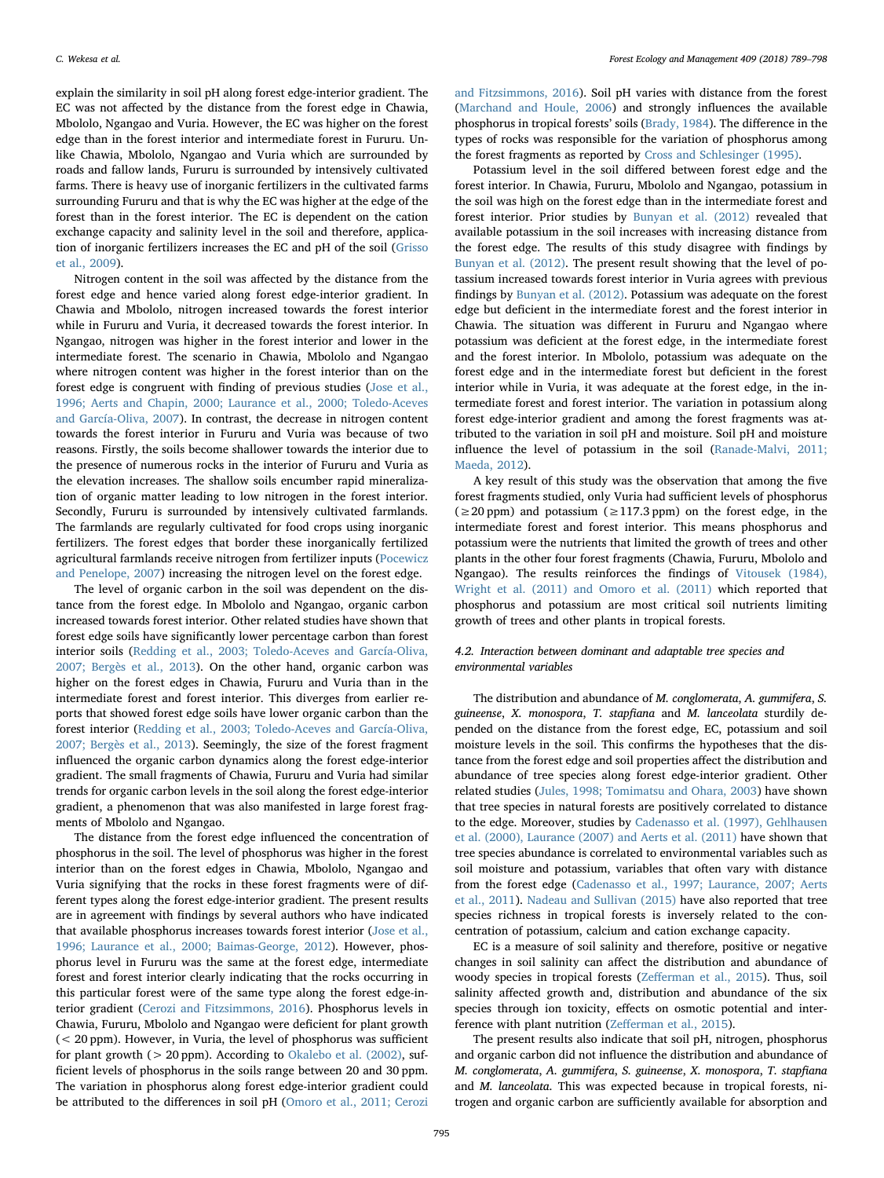explain the similarity in soil pH along forest edge-interior gradient. The EC was not affected by the distance from the forest edge in Chawia, Mbololo, Ngangao and Vuria. However, the EC was higher on the forest edge than in the forest interior and intermediate forest in Fururu. Unlike Chawia, Mbololo, Ngangao and Vuria which are surrounded by roads and fallow lands, Fururu is surrounded by intensively cultivated farms. There is heavy use of inorganic fertilizers in the cultivated farms surrounding Fururu and that is why the EC was higher at the edge of the forest than in the forest interior. The EC is dependent on the cation exchange capacity and salinity level in the soil and therefore, application of inorganic fertilizers increases the EC and pH of the soil ([Grisso](#page-8-13) [et al., 2009](#page-8-13)).

Nitrogen content in the soil was affected by the distance from the forest edge and hence varied along forest edge-interior gradient. In Chawia and Mbololo, nitrogen increased towards the forest interior while in Fururu and Vuria, it decreased towards the forest interior. In Ngangao, nitrogen was higher in the forest interior and lower in the intermediate forest. The scenario in Chawia, Mbololo and Ngangao where nitrogen content was higher in the forest interior than on the forest edge is congruent with finding of previous studies ([Jose et al.,](#page-8-0) [1996; Aerts and Chapin, 2000; Laurance et al., 2000; Toledo-Aceves](#page-8-0) [and García-Oliva, 2007\)](#page-8-0). In contrast, the decrease in nitrogen content towards the forest interior in Fururu and Vuria was because of two reasons. Firstly, the soils become shallower towards the interior due to the presence of numerous rocks in the interior of Fururu and Vuria as the elevation increases. The shallow soils encumber rapid mineralization of organic matter leading to low nitrogen in the forest interior. Secondly, Fururu is surrounded by intensively cultivated farmlands. The farmlands are regularly cultivated for food crops using inorganic fertilizers. The forest edges that border these inorganically fertilized agricultural farmlands receive nitrogen from fertilizer inputs ([Pocewicz](#page-9-22) [and Penelope, 2007](#page-9-22)) increasing the nitrogen level on the forest edge.

The level of organic carbon in the soil was dependent on the distance from the forest edge. In Mbololo and Ngangao, organic carbon increased towards forest interior. Other related studies have shown that forest edge soils have significantly lower percentage carbon than forest interior soils ([Redding et al., 2003; Toledo-Aceves and García-Oliva,](#page-9-9) [2007; Bergès et al., 2013\)](#page-9-9). On the other hand, organic carbon was higher on the forest edges in Chawia, Fururu and Vuria than in the intermediate forest and forest interior. This diverges from earlier reports that showed forest edge soils have lower organic carbon than the forest interior [\(Redding et al., 2003; Toledo-Aceves and García-Oliva,](#page-9-9) [2007; Bergès et al., 2013\)](#page-9-9). Seemingly, the size of the forest fragment influenced the organic carbon dynamics along the forest edge-interior gradient. The small fragments of Chawia, Fururu and Vuria had similar trends for organic carbon levels in the soil along the forest edge-interior gradient, a phenomenon that was also manifested in large forest fragments of Mbololo and Ngangao.

The distance from the forest edge influenced the concentration of phosphorus in the soil. The level of phosphorus was higher in the forest interior than on the forest edges in Chawia, Mbololo, Ngangao and Vuria signifying that the rocks in these forest fragments were of different types along the forest edge-interior gradient. The present results are in agreement with findings by several authors who have indicated that available phosphorus increases towards forest interior ([Jose et al.,](#page-8-0) [1996; Laurance et al., 2000; Baimas-George, 2012](#page-8-0)). However, phosphorus level in Fururu was the same at the forest edge, intermediate forest and forest interior clearly indicating that the rocks occurring in this particular forest were of the same type along the forest edge-interior gradient [\(Cerozi and Fitzsimmons, 2016\)](#page-8-14). Phosphorus levels in Chawia, Fururu, Mbololo and Ngangao were deficient for plant growth (< 20 ppm). However, in Vuria, the level of phosphorus was sufficient for plant growth ( $> 20$  ppm). According to [Okalebo et al. \(2002\),](#page-9-18) sufficient levels of phosphorus in the soils range between 20 and 30 ppm. The variation in phosphorus along forest edge-interior gradient could be attributed to the differences in soil pH ([Omoro et al., 2011; Cerozi](#page-9-11)

[and Fitzsimmons, 2016](#page-9-11)). Soil pH varies with distance from the forest ([Marchand and Houle, 2006](#page-9-23)) and strongly influences the available phosphorus in tropical forests' soils ([Brady, 1984\)](#page-8-15). The difference in the types of rocks was responsible for the variation of phosphorus among the forest fragments as reported by [Cross and Schlesinger \(1995\)](#page-8-16).

Potassium level in the soil differed between forest edge and the forest interior. In Chawia, Fururu, Mbololo and Ngangao, potassium in the soil was high on the forest edge than in the intermediate forest and forest interior. Prior studies by [Bunyan et al. \(2012\)](#page-8-17) revealed that available potassium in the soil increases with increasing distance from the forest edge. The results of this study disagree with findings by [Bunyan et al. \(2012\)](#page-8-17). The present result showing that the level of potassium increased towards forest interior in Vuria agrees with previous findings by [Bunyan et al. \(2012\).](#page-8-17) Potassium was adequate on the forest edge but deficient in the intermediate forest and the forest interior in Chawia. The situation was different in Fururu and Ngangao where potassium was deficient at the forest edge, in the intermediate forest and the forest interior. In Mbololo, potassium was adequate on the forest edge and in the intermediate forest but deficient in the forest interior while in Vuria, it was adequate at the forest edge, in the intermediate forest and forest interior. The variation in potassium along forest edge-interior gradient and among the forest fragments was attributed to the variation in soil pH and moisture. Soil pH and moisture influence the level of potassium in the soil ([Ranade-Malvi, 2011;](#page-9-24) [Maeda, 2012\)](#page-9-24).

A key result of this study was the observation that among the five forest fragments studied, only Vuria had sufficient levels of phosphorus  $(\geq 20 \text{ ppm})$  and potassium  $(\geq 117.3 \text{ ppm})$  on the forest edge, in the intermediate forest and forest interior. This means phosphorus and potassium were the nutrients that limited the growth of trees and other plants in the other four forest fragments (Chawia, Fururu, Mbololo and Ngangao). The results reinforces the findings of [Vitousek \(1984\),](#page-9-25) [Wright et al. \(2011\) and Omoro et al. \(2011\)](#page-9-25) which reported that phosphorus and potassium are most critical soil nutrients limiting growth of trees and other plants in tropical forests.

#### 4.2. Interaction between dominant and adaptable tree species and environmental variables

The distribution and abundance of M. conglomerata, A. gummifera, S. guineense, X. monospora, T. stapfiana and M. lanceolata sturdily depended on the distance from the forest edge, EC, potassium and soil moisture levels in the soil. This confirms the hypotheses that the distance from the forest edge and soil properties affect the distribution and abundance of tree species along forest edge-interior gradient. Other related studies [\(Jules, 1998; Tomimatsu and Ohara, 2003](#page-8-7)) have shown that tree species in natural forests are positively correlated to distance to the edge. Moreover, studies by [Cadenasso et al. \(1997\), Gehlhausen](#page-8-4) [et al. \(2000\), Laurance \(2007\) and Aerts et al. \(2011\)](#page-8-4) have shown that tree species abundance is correlated to environmental variables such as soil moisture and potassium, variables that often vary with distance from the forest edge ([Cadenasso et al., 1997; Laurance, 2007; Aerts](#page-8-4) [et al., 2011](#page-8-4)). [Nadeau and Sullivan \(2015\)](#page-9-26) have also reported that tree species richness in tropical forests is inversely related to the concentration of potassium, calcium and cation exchange capacity.

EC is a measure of soil salinity and therefore, positive or negative changes in soil salinity can affect the distribution and abundance of woody species in tropical forests (Zeff[erman et al., 2015\)](#page-9-27). Thus, soil salinity affected growth and, distribution and abundance of the six species through ion toxicity, effects on osmotic potential and interference with plant nutrition (Zeff[erman et al., 2015\)](#page-9-27).

The present results also indicate that soil pH, nitrogen, phosphorus and organic carbon did not influence the distribution and abundance of M. conglomerata, A. gummifera, S. guineense, X. monospora, T. stapfiana and M. lanceolata. This was expected because in tropical forests, nitrogen and organic carbon are sufficiently available for absorption and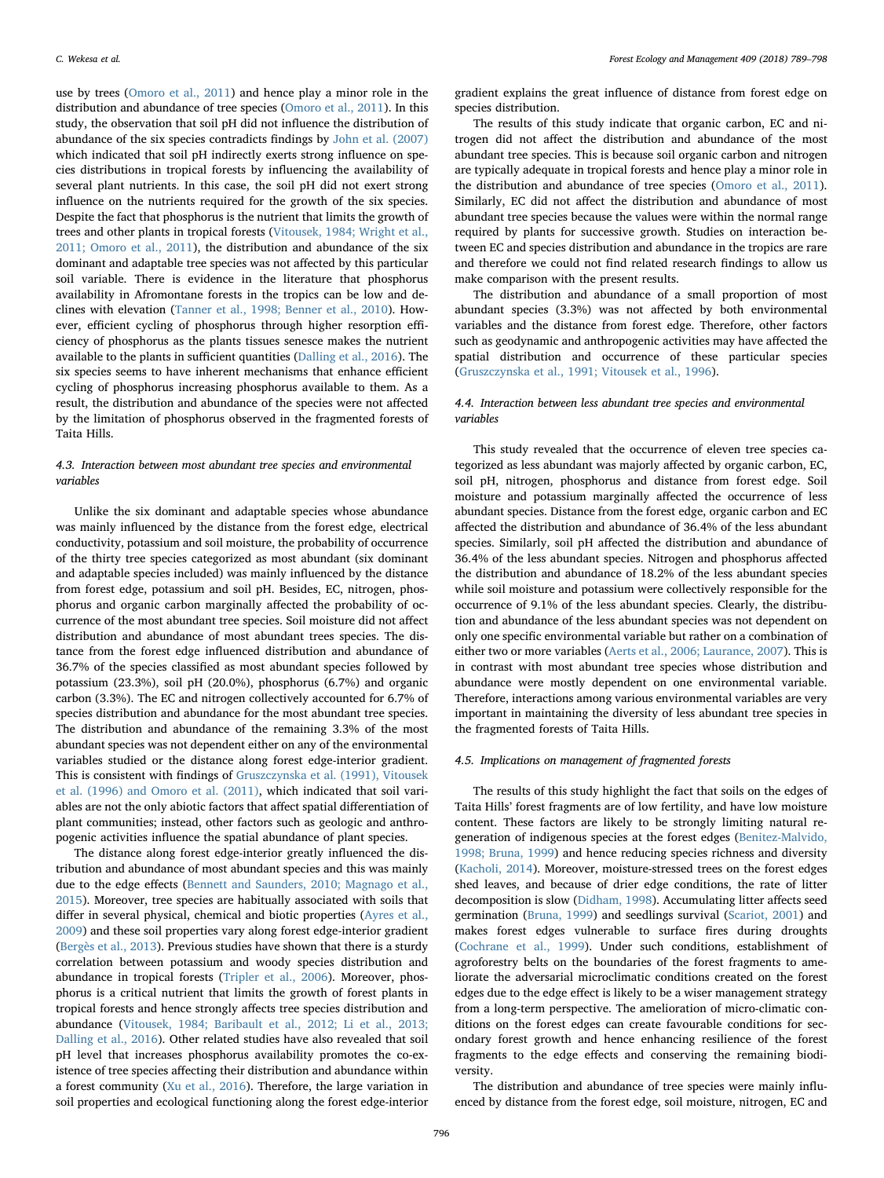use by trees ([Omoro et al., 2011\)](#page-9-11) and hence play a minor role in the distribution and abundance of tree species [\(Omoro et al., 2011\)](#page-9-11). In this study, the observation that soil pH did not influence the distribution of abundance of the six species contradicts findings by [John et al. \(2007\)](#page-8-18) which indicated that soil pH indirectly exerts strong influence on species distributions in tropical forests by influencing the availability of several plant nutrients. In this case, the soil pH did not exert strong influence on the nutrients required for the growth of the six species. Despite the fact that phosphorus is the nutrient that limits the growth of trees and other plants in tropical forests [\(Vitousek, 1984; Wright et al.,](#page-9-25) [2011; Omoro et al., 2011](#page-9-25)), the distribution and abundance of the six dominant and adaptable tree species was not affected by this particular soil variable. There is evidence in the literature that phosphorus availability in Afromontane forests in the tropics can be low and declines with elevation ([Tanner et al., 1998; Benner et al., 2010](#page-9-28)). However, efficient cycling of phosphorus through higher resorption efficiency of phosphorus as the plants tissues senesce makes the nutrient available to the plants in sufficient quantities ([Dalling et al., 2016](#page-8-19)). The six species seems to have inherent mechanisms that enhance efficient cycling of phosphorus increasing phosphorus available to them. As a result, the distribution and abundance of the species were not affected by the limitation of phosphorus observed in the fragmented forests of Taita Hills.

#### 4.3. Interaction between most abundant tree species and environmental variables

Unlike the six dominant and adaptable species whose abundance was mainly influenced by the distance from the forest edge, electrical conductivity, potassium and soil moisture, the probability of occurrence of the thirty tree species categorized as most abundant (six dominant and adaptable species included) was mainly influenced by the distance from forest edge, potassium and soil pH. Besides, EC, nitrogen, phosphorus and organic carbon marginally affected the probability of occurrence of the most abundant tree species. Soil moisture did not affect distribution and abundance of most abundant trees species. The distance from the forest edge influenced distribution and abundance of 36.7% of the species classified as most abundant species followed by potassium (23.3%), soil pH (20.0%), phosphorus (6.7%) and organic carbon (3.3%). The EC and nitrogen collectively accounted for 6.7% of species distribution and abundance for the most abundant tree species. The distribution and abundance of the remaining 3.3% of the most abundant species was not dependent either on any of the environmental variables studied or the distance along forest edge-interior gradient. This is consistent with findings of [Gruszczynska et al. \(1991\), Vitousek](#page-8-20) [et al. \(1996\) and Omoro et al. \(2011\),](#page-8-20) which indicated that soil variables are not the only abiotic factors that affect spatial differentiation of plant communities; instead, other factors such as geologic and anthropogenic activities influence the spatial abundance of plant species.

The distance along forest edge-interior greatly influenced the distribution and abundance of most abundant species and this was mainly due to the edge effects [\(Bennett and Saunders, 2010; Magnago et al.,](#page-8-1) [2015\)](#page-8-1). Moreover, tree species are habitually associated with soils that differ in several physical, chemical and biotic properties ([Ayres et al.,](#page-8-21) [2009\)](#page-8-21) and these soil properties vary along forest edge-interior gradient ([Bergès et al., 2013\)](#page-8-22). Previous studies have shown that there is a sturdy correlation between potassium and woody species distribution and abundance in tropical forests [\(Tripler et al., 2006\)](#page-9-29). Moreover, phosphorus is a critical nutrient that limits the growth of forest plants in tropical forests and hence strongly affects tree species distribution and abundance [\(Vitousek, 1984; Baribault et al., 2012; Li et al., 2013;](#page-9-25) [Dalling et al., 2016](#page-9-25)). Other related studies have also revealed that soil pH level that increases phosphorus availability promotes the co-existence of tree species affecting their distribution and abundance within a forest community ([Xu et al., 2016\)](#page-9-30). Therefore, the large variation in soil properties and ecological functioning along the forest edge-interior

gradient explains the great influence of distance from forest edge on species distribution.

The results of this study indicate that organic carbon, EC and nitrogen did not affect the distribution and abundance of the most abundant tree species. This is because soil organic carbon and nitrogen are typically adequate in tropical forests and hence play a minor role in the distribution and abundance of tree species [\(Omoro et al., 2011](#page-9-11)). Similarly, EC did not affect the distribution and abundance of most abundant tree species because the values were within the normal range required by plants for successive growth. Studies on interaction between EC and species distribution and abundance in the tropics are rare and therefore we could not find related research findings to allow us make comparison with the present results.

The distribution and abundance of a small proportion of most abundant species (3.3%) was not affected by both environmental variables and the distance from forest edge. Therefore, other factors such as geodynamic and anthropogenic activities may have affected the spatial distribution and occurrence of these particular species ([Gruszczynska et al., 1991; Vitousek et al., 1996\)](#page-8-20).

#### 4.4. Interaction between less abundant tree species and environmental variables

This study revealed that the occurrence of eleven tree species categorized as less abundant was majorly affected by organic carbon, EC, soil pH, nitrogen, phosphorus and distance from forest edge. Soil moisture and potassium marginally affected the occurrence of less abundant species. Distance from the forest edge, organic carbon and EC affected the distribution and abundance of 36.4% of the less abundant species. Similarly, soil pH affected the distribution and abundance of 36.4% of the less abundant species. Nitrogen and phosphorus affected the distribution and abundance of 18.2% of the less abundant species while soil moisture and potassium were collectively responsible for the occurrence of 9.1% of the less abundant species. Clearly, the distribution and abundance of the less abundant species was not dependent on only one specific environmental variable but rather on a combination of either two or more variables [\(Aerts et al., 2006; Laurance, 2007](#page-8-5)). This is in contrast with most abundant tree species whose distribution and abundance were mostly dependent on one environmental variable. Therefore, interactions among various environmental variables are very important in maintaining the diversity of less abundant tree species in the fragmented forests of Taita Hills.

#### 4.5. Implications on management of fragmented forests

The results of this study highlight the fact that soils on the edges of Taita Hills' forest fragments are of low fertility, and have low moisture content. These factors are likely to be strongly limiting natural regeneration of indigenous species at the forest edges [\(Benitez-Malvido,](#page-8-23) [1998; Bruna, 1999\)](#page-8-23) and hence reducing species richness and diversity ([Kacholi, 2014](#page-9-31)). Moreover, moisture-stressed trees on the forest edges shed leaves, and because of drier edge conditions, the rate of litter decomposition is slow [\(Didham, 1998](#page-8-24)). Accumulating litter affects seed germination ([Bruna, 1999\)](#page-8-25) and seedlings survival ([Scariot, 2001\)](#page-9-32) and makes forest edges vulnerable to surface fires during droughts ([Cochrane et al., 1999](#page-8-26)). Under such conditions, establishment of agroforestry belts on the boundaries of the forest fragments to ameliorate the adversarial microclimatic conditions created on the forest edges due to the edge effect is likely to be a wiser management strategy from a long-term perspective. The amelioration of micro-climatic conditions on the forest edges can create favourable conditions for secondary forest growth and hence enhancing resilience of the forest fragments to the edge effects and conserving the remaining biodiversity.

The distribution and abundance of tree species were mainly influenced by distance from the forest edge, soil moisture, nitrogen, EC and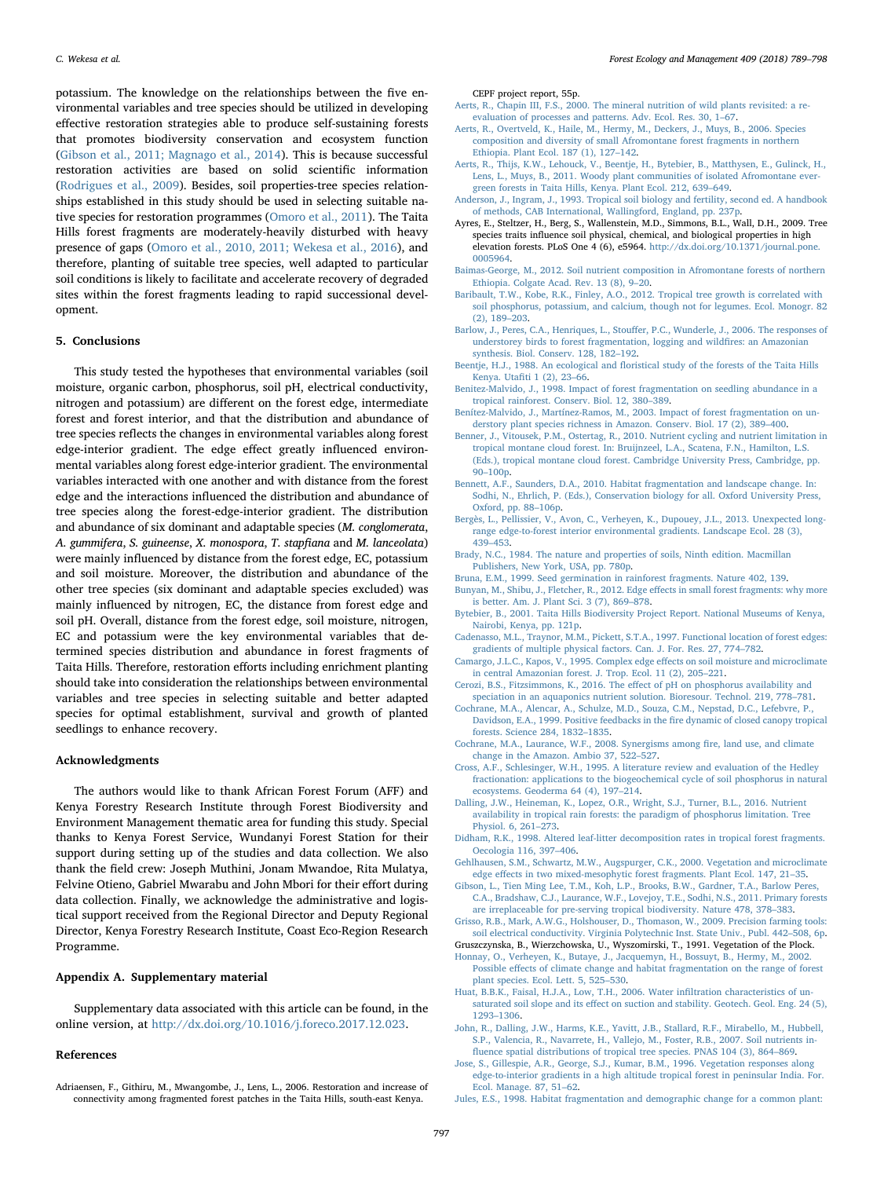potassium. The knowledge on the relationships between the five environmental variables and tree species should be utilized in developing effective restoration strategies able to produce self-sustaining forests that promotes biodiversity conservation and ecosystem function ([Gibson et al., 2011; Magnago et al., 2014](#page-8-27)). This is because successful restoration activities are based on solid scientific information ([Rodrigues et al., 2009\)](#page-9-33). Besides, soil properties-tree species relationships established in this study should be used in selecting suitable native species for restoration programmes ([Omoro et al., 2011\)](#page-9-11). The Taita Hills forest fragments are moderately-heavily disturbed with heavy presence of gaps [\(Omoro et al., 2010, 2011; Wekesa et al., 2016\)](#page-9-16), and therefore, planting of suitable tree species, well adapted to particular soil conditions is likely to facilitate and accelerate recovery of degraded sites within the forest fragments leading to rapid successional development.

#### 5. Conclusions

This study tested the hypotheses that environmental variables (soil moisture, organic carbon, phosphorus, soil pH, electrical conductivity, nitrogen and potassium) are different on the forest edge, intermediate forest and forest interior, and that the distribution and abundance of tree species reflects the changes in environmental variables along forest edge-interior gradient. The edge effect greatly influenced environmental variables along forest edge-interior gradient. The environmental variables interacted with one another and with distance from the forest edge and the interactions influenced the distribution and abundance of tree species along the forest-edge-interior gradient. The distribution and abundance of six dominant and adaptable species (M. conglomerata, A. gummifera, S. guineense, X. monospora, T. stapfiana and M. lanceolata) were mainly influenced by distance from the forest edge, EC, potassium and soil moisture. Moreover, the distribution and abundance of the other tree species (six dominant and adaptable species excluded) was mainly influenced by nitrogen, EC, the distance from forest edge and soil pH. Overall, distance from the forest edge, soil moisture, nitrogen, EC and potassium were the key environmental variables that determined species distribution and abundance in forest fragments of Taita Hills. Therefore, restoration efforts including enrichment planting should take into consideration the relationships between environmental variables and tree species in selecting suitable and better adapted species for optimal establishment, survival and growth of planted seedlings to enhance recovery.

#### Acknowledgments

The authors would like to thank African Forest Forum (AFF) and Kenya Forestry Research Institute through Forest Biodiversity and Environment Management thematic area for funding this study. Special thanks to Kenya Forest Service, Wundanyi Forest Station for their support during setting up of the studies and data collection. We also thank the field crew: Joseph Muthini, Jonam Mwandoe, Rita Mulatya, Felvine Otieno, Gabriel Mwarabu and John Mbori for their effort during data collection. Finally, we acknowledge the administrative and logistical support received from the Regional Director and Deputy Regional Director, Kenya Forestry Research Institute, Coast Eco-Region Research Programme.

#### Appendix A. Supplementary material

Supplementary data associated with this article can be found, in the online version, at <http://dx.doi.org/10.1016/j.foreco.2017.12.023>.

#### References

Adriaensen, F., Githiru, M., Mwangombe, J., Lens, L., 2006. Restoration and increase of connectivity among fragmented forest patches in the Taita Hills, south-east Kenya.

CEPF project report, 55p.

- [Aerts, R., Chapin III, F.S., 2000. The mineral nutrition of wild plants revisited: a re](http://refhub.elsevier.com/S0378-1127(17)31753-X/h0010)[evaluation of processes and patterns. Adv. Ecol. Res. 30, 1](http://refhub.elsevier.com/S0378-1127(17)31753-X/h0010)–67. [Aerts, R., Overtveld, K., Haile, M., Hermy, M., Deckers, J., Muys, B., 2006. Species](http://refhub.elsevier.com/S0378-1127(17)31753-X/h0015)
- <span id="page-8-5"></span>[composition and diversity of small Afromontane forest fragments in northern](http://refhub.elsevier.com/S0378-1127(17)31753-X/h0015) [Ethiopia. Plant Ecol. 187 \(1\), 127](http://refhub.elsevier.com/S0378-1127(17)31753-X/h0015)–142.
- <span id="page-8-10"></span>[Aerts, R., Thijs, K.W., Lehouck, V., Beentje, H., Bytebier, B., Matthysen, E., Gulinck, H.,](http://refhub.elsevier.com/S0378-1127(17)31753-X/h0020) [Lens, L., Muys, B., 2011. Woody plant communities of isolated Afromontane ever](http://refhub.elsevier.com/S0378-1127(17)31753-X/h0020)[green forests in Taita Hills, Kenya. Plant Ecol. 212, 639](http://refhub.elsevier.com/S0378-1127(17)31753-X/h0020)–649.
- <span id="page-8-11"></span>[Anderson, J., Ingram, J., 1993. Tropical soil biology and fertility, second ed. A handbook](http://refhub.elsevier.com/S0378-1127(17)31753-X/h0025) [of methods, CAB International, Wallingford, England, pp. 237p.](http://refhub.elsevier.com/S0378-1127(17)31753-X/h0025)
- <span id="page-8-21"></span>Ayres, E., Steltzer, H., Berg, S., Wallenstein, M.D., Simmons, B.L., Wall, D.H., 2009. Tree species traits influence soil physical, chemical, and biological properties in high elevation forests. PLoS One 4 (6), e5964. [http://dx.doi.org/10.1371/journal.pone.](http://dx.doi.org/10.1371/journal.pone.0005964) [0005964.](http://dx.doi.org/10.1371/journal.pone.0005964)
- [Baimas-George, M., 2012. Soil nutrient composition in Afromontane forests of northern](http://refhub.elsevier.com/S0378-1127(17)31753-X/h0035) [Ethiopia. Colgate Acad. Rev. 13 \(8\), 9](http://refhub.elsevier.com/S0378-1127(17)31753-X/h0035)–20.
- [Baribault, T.W., Kobe, R.K., Finley, A.O., 2012. Tropical tree growth is correlated with](http://refhub.elsevier.com/S0378-1127(17)31753-X/h0040) [soil phosphorus, potassium, and calcium, though not for legumes. Ecol. Monogr. 82](http://refhub.elsevier.com/S0378-1127(17)31753-X/h0040) [\(2\), 189](http://refhub.elsevier.com/S0378-1127(17)31753-X/h0040)–203.
- Barlow, J., Peres, C.A., Henriques, L., Stouff[er, P.C., Wunderle, J., 2006. The responses of](http://refhub.elsevier.com/S0378-1127(17)31753-X/h0045) [understorey birds to forest fragmentation, logging and wild](http://refhub.elsevier.com/S0378-1127(17)31753-X/h0045)fires: an Amazonian [synthesis. Biol. Conserv. 128, 182](http://refhub.elsevier.com/S0378-1127(17)31753-X/h0045)–192.
- <span id="page-8-8"></span>Beentje, H.J., 1988. An ecological and fl[oristical study of the forests of the Taita Hills](http://refhub.elsevier.com/S0378-1127(17)31753-X/h0050) Kenya. Utafi[ti 1 \(2\), 23](http://refhub.elsevier.com/S0378-1127(17)31753-X/h0050)–66.
- <span id="page-8-23"></span>[Benitez-Malvido, J., 1998. Impact of forest fragmentation on seedling abundance in a](http://refhub.elsevier.com/S0378-1127(17)31753-X/h0055) [tropical rainforest. Conserv. Biol. 12, 380](http://refhub.elsevier.com/S0378-1127(17)31753-X/h0055)–389.
- <span id="page-8-2"></span>[Benítez-Malvido, J., Martínez-Ramos, M., 2003. Impact of forest fragmentation on un](http://refhub.elsevier.com/S0378-1127(17)31753-X/h0060)[derstory plant species richness in Amazon. Conserv. Biol. 17 \(2\), 389](http://refhub.elsevier.com/S0378-1127(17)31753-X/h0060)–400.
- [Benner, J., Vitousek, P.M., Ostertag, R., 2010. Nutrient cycling and nutrient limitation in](http://refhub.elsevier.com/S0378-1127(17)31753-X/h0065) [tropical montane cloud forest. In: Bruijnzeel, L.A., Scatena, F.N., Hamilton, L.S.](http://refhub.elsevier.com/S0378-1127(17)31753-X/h0065) [\(Eds.\), tropical montane cloud forest. Cambridge University Press, Cambridge, pp.](http://refhub.elsevier.com/S0378-1127(17)31753-X/h0065)  $90-100p$  $90-100p$ .
- <span id="page-8-1"></span>[Bennett, A.F., Saunders, D.A., 2010. Habitat fragmentation and landscape change. In:](http://refhub.elsevier.com/S0378-1127(17)31753-X/h0070) [Sodhi, N., Ehrlich, P. \(Eds.\), Conservation biology for all. Oxford University Press,](http://refhub.elsevier.com/S0378-1127(17)31753-X/h0070) [Oxford, pp. 88](http://refhub.elsevier.com/S0378-1127(17)31753-X/h0070)–106p.
- <span id="page-8-22"></span>[Bergès, L., Pellissier, V., Avon, C., Verheyen, K., Dupouey, J.L., 2013. Unexpected long](http://refhub.elsevier.com/S0378-1127(17)31753-X/h0075)[range edge-to-forest interior environmental gradients. Landscape Ecol. 28 \(3\),](http://refhub.elsevier.com/S0378-1127(17)31753-X/h0075) 439–[453](http://refhub.elsevier.com/S0378-1127(17)31753-X/h0075).
- <span id="page-8-15"></span>[Brady, N.C., 1984. The nature and properties of soils, Ninth edition. Macmillan](http://refhub.elsevier.com/S0378-1127(17)31753-X/h0080) [Publishers, New York, USA, pp. 780p](http://refhub.elsevier.com/S0378-1127(17)31753-X/h0080).
- <span id="page-8-25"></span>[Bruna, E.M., 1999. Seed germination in rainforest fragments. Nature 402, 139.](http://refhub.elsevier.com/S0378-1127(17)31753-X/h0085)
- <span id="page-8-17"></span>[Bunyan, M., Shibu, J., Fletcher, R., 2012. Edge e](http://refhub.elsevier.com/S0378-1127(17)31753-X/h0090)ffects in small forest fragments: why more [is better. Am. J. Plant Sci. 3 \(7\), 869](http://refhub.elsevier.com/S0378-1127(17)31753-X/h0090)–878.
- <span id="page-8-9"></span>[Bytebier, B., 2001. Taita Hills Biodiversity Project Report. National Museums of Kenya,](http://refhub.elsevier.com/S0378-1127(17)31753-X/h0095) [Nairobi, Kenya, pp. 121p](http://refhub.elsevier.com/S0378-1127(17)31753-X/h0095).
- <span id="page-8-4"></span>Cadenasso, [M.L., Traynor, M.M., Pickett, S.T.A., 1997. Functional location of forest edges:](http://refhub.elsevier.com/S0378-1127(17)31753-X/h0100) [gradients of multiple physical factors. Can. J. For. Res. 27, 774](http://refhub.elsevier.com/S0378-1127(17)31753-X/h0100)–782.
- <span id="page-8-6"></span>[Camargo, J.L.C., Kapos, V., 1995. Complex edge e](http://refhub.elsevier.com/S0378-1127(17)31753-X/h0105)ffects on soil moisture and microclimate [in central Amazonian forest. J. Trop. Ecol. 11 \(2\), 205](http://refhub.elsevier.com/S0378-1127(17)31753-X/h0105)–221.
- <span id="page-8-14"></span>[Cerozi, B.S., Fitzsimmons, K., 2016. The e](http://refhub.elsevier.com/S0378-1127(17)31753-X/h0110)ffect of pH on phosphorus availability and [speciation in an aquaponics nutrient solution. Bioresour. Technol. 219, 778](http://refhub.elsevier.com/S0378-1127(17)31753-X/h0110)–781.
- <span id="page-8-26"></span>[Cochrane, M.A., Alencar, A., Schulze, M.D., Souza, C.M., Nepstad, D.C., Lefebvre, P.,](http://refhub.elsevier.com/S0378-1127(17)31753-X/h0115) [Davidson, E.A., 1999. Positive feedbacks in the](http://refhub.elsevier.com/S0378-1127(17)31753-X/h0115) fire dynamic of closed canopy tropical [forests. Science 284, 1832](http://refhub.elsevier.com/S0378-1127(17)31753-X/h0115)–1835.
- [Cochrane, M.A., Laurance, W.F., 2008. Synergisms among](http://refhub.elsevier.com/S0378-1127(17)31753-X/h0120) fire, land use, and climate [change in the Amazon. Ambio 37, 522](http://refhub.elsevier.com/S0378-1127(17)31753-X/h0120)–527.
- <span id="page-8-16"></span>[Cross, A.F., Schlesinger, W.H., 1995. A literature review and evaluation of the Hedley](http://refhub.elsevier.com/S0378-1127(17)31753-X/h0125) [fractionation: applications to the biogeochemical cycle of soil phosphorus in natural](http://refhub.elsevier.com/S0378-1127(17)31753-X/h0125) [ecosystems. Geoderma 64 \(4\), 197](http://refhub.elsevier.com/S0378-1127(17)31753-X/h0125)–214.
- <span id="page-8-19"></span>[Dalling, J.W., Heineman, K., Lopez, O.R., Wright, S.J., Turner, B.L., 2016. Nutrient](http://refhub.elsevier.com/S0378-1127(17)31753-X/h0130) [availability in tropical rain forests: the paradigm of phosphorus limitation. Tree](http://refhub.elsevier.com/S0378-1127(17)31753-X/h0130) [Physiol. 6, 261](http://refhub.elsevier.com/S0378-1127(17)31753-X/h0130)–273.
- <span id="page-8-24"></span>[Didham, R.K., 1998. Altered leaf-litter decomposition rates in tropical forest fragments.](http://refhub.elsevier.com/S0378-1127(17)31753-X/h0135) [Oecologia 116, 397](http://refhub.elsevier.com/S0378-1127(17)31753-X/h0135)–406.
- <span id="page-8-3"></span>[Gehlhausen, S.M., Schwartz, M.W., Augspurger, C.K., 2000. Vegetation and microclimate](http://refhub.elsevier.com/S0378-1127(17)31753-X/h0140) edge eff[ects in two mixed-mesophytic forest fragments. Plant Ecol. 147, 21](http://refhub.elsevier.com/S0378-1127(17)31753-X/h0140)–35.
- <span id="page-8-27"></span>[Gibson, L., Tien Ming Lee, T.M., Koh, L.P., Brooks, B.W., Gardner, T.A., Barlow Peres,](http://refhub.elsevier.com/S0378-1127(17)31753-X/h0145) [C.A., Bradshaw, C.J., Laurance, W.F., Lovejoy, T.E., Sodhi, N.S., 2011. Primary forests](http://refhub.elsevier.com/S0378-1127(17)31753-X/h0145) [are irreplaceable for pre-serving tropical biodiversity. Nature 478, 378](http://refhub.elsevier.com/S0378-1127(17)31753-X/h0145)–383.
- <span id="page-8-13"></span>[Grisso, R.B., Mark, A.W.G., Holshouser, D., Thomason, W., 2009. Precision farming tools:](http://refhub.elsevier.com/S0378-1127(17)31753-X/h0150) [soil electrical conductivity. Virginia Polytechnic Inst. State Univ., Publ. 442](http://refhub.elsevier.com/S0378-1127(17)31753-X/h0150)–508, 6p.
- <span id="page-8-20"></span>Gruszczynska, B., Wierzchowska, U., Wyszomirski, T., 1991. Vegetation of the Plock. [Honnay, O., Verheyen, K., Butaye, J., Jacquemyn, H., Bossuyt, B., Hermy, M., 2002.](http://refhub.elsevier.com/S0378-1127(17)31753-X/h0160)
- Possible eff[ects of climate change and habitat fragmentation on the range of forest](http://refhub.elsevier.com/S0378-1127(17)31753-X/h0160) [plant species. Ecol. Lett. 5, 525](http://refhub.elsevier.com/S0378-1127(17)31753-X/h0160)–530. [Huat, B.B.K., Faisal, H.J.A., Low, T.H., 2006. Water in](http://refhub.elsevier.com/S0378-1127(17)31753-X/h0165)filtration characteristics of un-
- <span id="page-8-12"></span>saturated soil slope and its eff[ect on suction and stability. Geotech. Geol. Eng. 24 \(5\),](http://refhub.elsevier.com/S0378-1127(17)31753-X/h0165) 1293–[1306](http://refhub.elsevier.com/S0378-1127(17)31753-X/h0165).
- <span id="page-8-18"></span>[John, R., Dalling, J.W., Harms, K.E., Yavitt, J.B., Stallard, R.F., Mirabello, M., Hubbell,](http://refhub.elsevier.com/S0378-1127(17)31753-X/h0170) [S.P., Valencia, R., Navarrete, H., Vallejo, M., Foster, R.B., 2007. Soil nutrients in](http://refhub.elsevier.com/S0378-1127(17)31753-X/h0170)fl[uence spatial distributions of tropical tree species. PNAS 104 \(3\), 864](http://refhub.elsevier.com/S0378-1127(17)31753-X/h0170)–869.
- <span id="page-8-0"></span>[Jose, S., Gillespie, A.R., George, S.J., Kumar, B.M., 1996. Vegetation responses along](http://refhub.elsevier.com/S0378-1127(17)31753-X/h0175) [edge-to-interior gradients in a high altitude tropical forest in peninsular India. For.](http://refhub.elsevier.com/S0378-1127(17)31753-X/h0175) [Ecol. Manage. 87, 51](http://refhub.elsevier.com/S0378-1127(17)31753-X/h0175)–62.
- <span id="page-8-7"></span>Jules, [E.S., 1998. Habitat fragmentation and demographic change for a common plant:](http://refhub.elsevier.com/S0378-1127(17)31753-X/h0180)